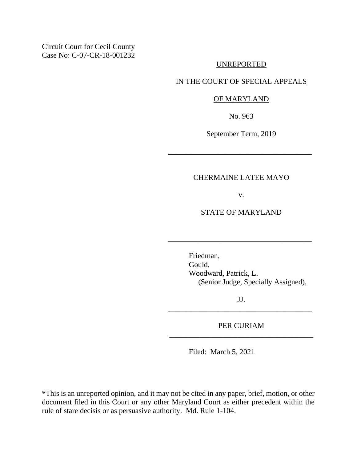Circuit Court for Cecil County Case No: C-07-CR-18-001232

#### UNREPORTED

## IN THE COURT OF SPECIAL APPEALS

#### OF MARYLAND

No. 963

September Term, 2019

\_\_\_\_\_\_\_\_\_\_\_\_\_\_\_\_\_\_\_\_\_\_\_\_\_\_\_\_\_\_\_\_\_\_\_\_\_\_

## CHERMAINE LATEE MAYO

v.

# STATE OF MARYLAND

\_\_\_\_\_\_\_\_\_\_\_\_\_\_\_\_\_\_\_\_\_\_\_\_\_\_\_\_\_\_\_\_\_\_\_\_\_\_

Friedman, Gould, Woodward, Patrick, L. (Senior Judge, Specially Assigned),

JJ. \_\_\_\_\_\_\_\_\_\_\_\_\_\_\_\_\_\_\_\_\_\_\_\_\_\_\_\_\_\_\_\_\_\_\_\_\_\_

PER CURIAM \_\_\_\_\_\_\_\_\_\_\_\_\_\_\_\_\_\_\_\_\_\_\_\_\_\_\_\_\_\_\_\_\_\_\_\_\_\_

Filed: March 5, 2021

\*This is an unreported opinion, and it may not be cited in any paper, brief, motion, or other document filed in this Court or any other Maryland Court as either precedent within the rule of stare decisis or as persuasive authority. Md. Rule 1-104.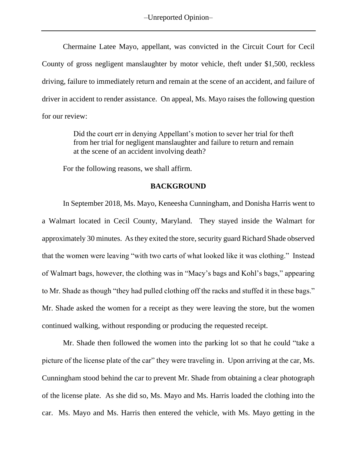–Unreported Opinion–

Chermaine Latee Mayo, appellant, was convicted in the Circuit Court for Cecil County of gross negligent manslaughter by motor vehicle, theft under \$1,500, reckless driving, failure to immediately return and remain at the scene of an accident, and failure of driver in accident to render assistance. On appeal, Ms. Mayo raises the following question for our review:

> Did the court err in denying Appellant's motion to sever her trial for theft from her trial for negligent manslaughter and failure to return and remain at the scene of an accident involving death?

For the following reasons, we shall affirm.

#### **BACKGROUND**

In September 2018, Ms. Mayo, Keneesha Cunningham, and Donisha Harris went to a Walmart located in Cecil County, Maryland. They stayed inside the Walmart for approximately 30 minutes. As they exited the store, security guard Richard Shade observed that the women were leaving "with two carts of what looked like it was clothing." Instead of Walmart bags, however, the clothing was in "Macy's bags and Kohl's bags," appearing to Mr. Shade as though "they had pulled clothing off the racks and stuffed it in these bags." Mr. Shade asked the women for a receipt as they were leaving the store, but the women continued walking, without responding or producing the requested receipt.

Mr. Shade then followed the women into the parking lot so that he could "take a picture of the license plate of the car" they were traveling in. Upon arriving at the car, Ms. Cunningham stood behind the car to prevent Mr. Shade from obtaining a clear photograph of the license plate. As she did so, Ms. Mayo and Ms. Harris loaded the clothing into the car. Ms. Mayo and Ms. Harris then entered the vehicle, with Ms. Mayo getting in the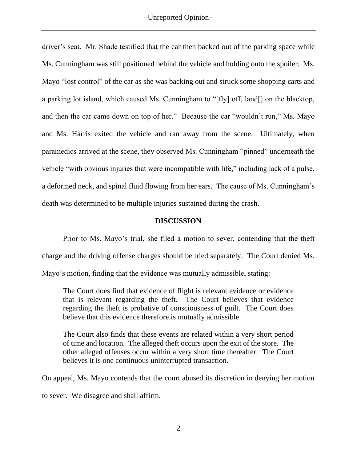driver's seat. Mr. Shade testified that the car then backed out of the parking space while Ms. Cunningham was still positioned behind the vehicle and holding onto the spoiler. Ms. Mayo "lost control" of the car as she was backing out and struck some shopping carts and a parking lot island, which caused Ms. Cunningham to "[fly] off, land[] on the blacktop, and then the car came down on top of her." Because the car "wouldn't run," Ms. Mayo and Ms. Harris exited the vehicle and ran away from the scene. Ultimately, when paramedics arrived at the scene, they observed Ms. Cunningham "pinned" underneath the vehicle "with obvious injuries that were incompatible with life," including lack of a pulse, a deformed neck, and spinal fluid flowing from her ears. The cause of Ms. Cunningham's death was determined to be multiple injuries sustained during the crash.

## **DISCUSSION**

Prior to Ms. Mayo's trial, she filed a motion to sever, contending that the theft charge and the driving offense charges should be tried separately. The Court denied Ms. Mayo's motion, finding that the evidence was mutually admissible, stating:

The Court does find that evidence of flight is relevant evidence or evidence that is relevant regarding the theft. The Court believes that evidence regarding the theft is probative of consciousness of guilt. The Court does believe that this evidence therefore is mutually admissible.

The Court also finds that these events are related within a very short period of time and location. The alleged theft occurs upon the exit of the store. The other alleged offenses occur within a very short time thereafter. The Court believes it is one continuous uninterrupted transaction.

On appeal, Ms. Mayo contends that the court abused its discretion in denying her motion to sever. We disagree and shall affirm.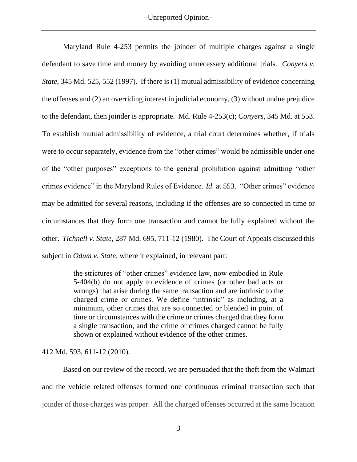–Unreported Opinion–

[Maryland](https://1.next.westlaw.com/Link/Document/FullText?findType=L&pubNum=1007682&cite=MDRCRR4-253&originatingDoc=I5e7f8180fb2f11e9aa89c18bc663273c&refType=LQ&originationContext=document&transitionType=DocumentItem&contextData=(sc.Keycite)) Rule 4-253 permits the joinder of multiple charges against a single defendant to save time and money by avoiding unnecessary additional trials. *[Conyers](https://1.next.westlaw.com/Link/Document/FullText?findType=Y&serNum=1997105773&pubNum=0000536&originatingDoc=I5e7f8180fb2f11e9aa89c18bc663273c&refType=RP&fi=co_pp_sp_536_552&originationContext=document&transitionType=DocumentItem&contextData=(sc.Keycite)#co_pp_sp_536_552) v. [State](https://1.next.westlaw.com/Link/Document/FullText?findType=Y&serNum=1997105773&pubNum=0000536&originatingDoc=I5e7f8180fb2f11e9aa89c18bc663273c&refType=RP&fi=co_pp_sp_536_552&originationContext=document&transitionType=DocumentItem&contextData=(sc.Keycite)#co_pp_sp_536_552)*, 345 Md. 525, 552 (1997). If there is (1) mutual admissibility of evidence concerning the offenses and (2) an overriding interest in judicial economy, (3) without undue prejudice to the defendant, then joinder is appropriate. Md. Rule [4-253\(c\);](https://1.next.westlaw.com/Link/Document/FullText?findType=L&pubNum=1007682&cite=MDRCRR4-253&originatingDoc=I5e7f8180fb2f11e9aa89c18bc663273c&refType=LQ&originationContext=document&transitionType=DocumentItem&contextData=(sc.Keycite)) *[Conyers](https://1.next.westlaw.com/Link/Document/FullText?findType=Y&serNum=1997105773&pubNum=0000536&originatingDoc=I5e7f8180fb2f11e9aa89c18bc663273c&refType=RP&fi=co_pp_sp_536_553&originationContext=document&transitionType=DocumentItem&contextData=(sc.Keycite)#co_pp_sp_536_553)*, 345 Md. at 553. To establish mutual admissibility of evidence, a trial court determines whether, if trials were to occur separately, evidence from the "other crimes" would be admissible under one of the "other purposes" exceptions to the general prohibition against admitting "other crimes evidence" in the Maryland Rules of Evidence. *Id*. at [553.](https://1.next.westlaw.com/Link/Document/FullText?findType=Y&serNum=1997105773&pubNum=0000536&originatingDoc=I5e7f8180fb2f11e9aa89c18bc663273c&refType=RP&fi=co_pp_sp_536_553&originationContext=document&transitionType=DocumentItem&contextData=(sc.Keycite)#co_pp_sp_536_553) "Other crimes" evidence may be admitted for several reasons, including if the offenses are so connected in time or circumstances that they form one transaction and cannot be fully explained without the other. *[Tichnell](https://1.next.westlaw.com/Link/Document/FullText?findType=Y&serNum=1980117254&pubNum=0000536&originatingDoc=I5e7f8180fb2f11e9aa89c18bc663273c&refType=RP&fi=co_pp_sp_536_711&originationContext=document&transitionType=DocumentItem&contextData=(sc.Keycite)#co_pp_sp_536_711) v. State*, 287 Md. 695, 711-12 (1980). The Court of Appeals discussed this subject in *Odum v. State*, where it explained, in relevant part:

> the strictures of "other crimes" evidence law, now embodied in Rule 5-404(b) do not apply to evidence of crimes (or other bad acts or wrongs) that arise during the same transaction and are intrinsic to the charged crime or crimes. We define "intrinsic" as including, at a minimum, other crimes that are so connected or blended in point of time or circumstances with the crime or crimes charged that they form a single transaction, and the crime or crimes charged cannot be fully shown or explained without evidence of the other crimes.

412 Md. 593, [611-12](https://1.next.westlaw.com/Link/Document/FullText?findType=Y&serNum=2021402499&pubNum=0000536&originatingDoc=Ia1c404b00a9e11ea99759a7d72d9b23a&refType=RP&fi=co_pp_sp_536_611&originationContext=document&transitionType=DocumentItem&contextData=(sc.History*oc.Keycite)#co_pp_sp_536_611) (2010).

Based on our review of the record, we are persuaded that the theft from the Walmart and the vehicle related offenses formed one continuous criminal transaction such that joinder of those charges was proper. All the charged offenses occurred at the same location